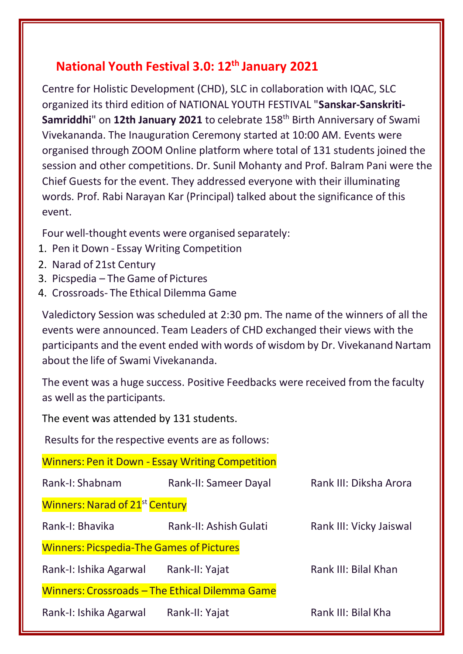## **National Youth Festival 3.0: 12th January 2021**

Centre for Holistic Development (CHD), SLC in collaboration with IQAC, SLC organized its third edition of NATIONAL YOUTH FESTIVAL "**Sanskar-Sanskriti-**Samriddhi" on 12th January 2021 to celebrate 158<sup>th</sup> Birth Anniversary of Swami Vivekananda. The Inauguration Ceremony started at 10:00 AM. Events were organised through ZOOM Online platform where total of 131 students joined the session and other competitions. Dr. Sunil Mohanty and Prof. Balram Pani were the Chief Guests for the event. They addressed everyone with their illuminating words. Prof. Rabi Narayan Kar (Principal) talked about the significance of this event.

Four well-thought events were organised separately:

- 1. Pen it Down Essay Writing Competition
- 2. Narad of 21st Century
- 3. Picspedia The Game of Pictures
- 4. Crossroads- The Ethical Dilemma Game

Valedictory Session was scheduled at 2:30 pm. The name of the winners of all the events were announced. Team Leaders of CHD exchanged their views with the participants and the event ended with words of wisdom by Dr. Vivekanand Nartam about the life of Swami Vivekananda.

The event was a huge success. Positive Feedbacks were received from the faculty as well as the participants.

The event was attended by 131 students.

Results for the respective events are as follows:

Winners: Pen it Down - Essay Writing Competition

| Rank-I: Shabnam                                 | Rank-II: Sameer Dayal                          | Rank III: Diksha Arora  |
|-------------------------------------------------|------------------------------------------------|-------------------------|
| <b>Winners: Narad of 21st Century</b>           |                                                |                         |
| Rank-I: Bhavika                                 | Rank-II: Ashish Gulati                         | Rank III: Vicky Jaiswal |
| <b>Winners: Picspedia-The Games of Pictures</b> |                                                |                         |
| Rank-I: Ishika Agarwal                          | Rank-II: Yajat                                 | Rank III: Bilal Khan    |
|                                                 | Winners: Crossroads - The Ethical Dilemma Game |                         |
| Rank-I: Ishika Agarwal                          | Rank-II: Yajat                                 | Rank III: Bilal Kha     |